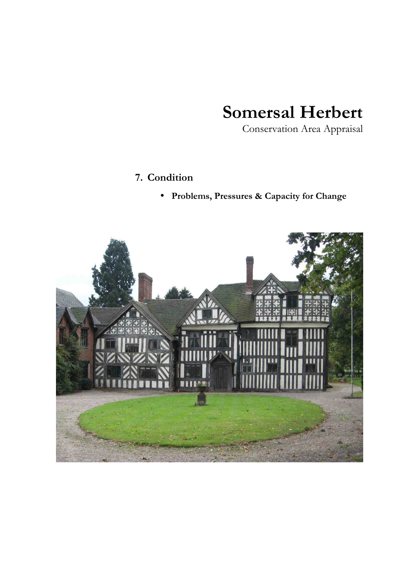## **Somersal Herbert**

Conservation Area Appraisal

## **7. Condition**

• **Problems, Pressures & Capacity for Change** 

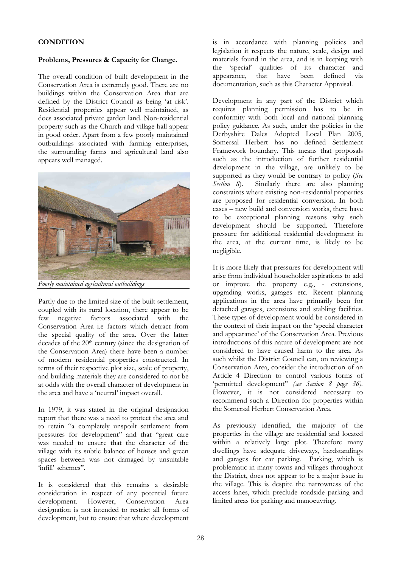## **CONDITION**

## **Problems, Pressures & Capacity for Change.**

The overall condition of built development in the Conservation Area is extremely good. There are no buildings within the Conservation Area that are defined by the District Council as being 'at risk'. Residential properties appear well maintained, as does associated private garden land. Non-residential property such as the Church and village hall appear in good order. Apart from a few poorly maintained outbuildings associated with farming enterprises, the surrounding farms and agricultural land also appears well managed.



*Poorly maintained agricultural outbuildings* 

Partly due to the limited size of the built settlement, coupled with its rural location, there appear to be few negative factors associated with the Conservation Area i.e factors which detract from the special quality of the area. Over the latter decades of the 20<sup>th</sup> century (since the designation of the Conservation Area) there have been a number of modern residential properties constructed. In terms of their respective plot size, scale of property, and building materials they are considered to not be at odds with the overall character of development in the area and have a 'neutral' impact overall.

In 1979, it was stated in the original designation report that there was a need to protect the area and to retain "a completely unspoilt settlement from pressures for development" and that "great care was needed to ensure that the character of the village with its subtle balance of houses and green spaces between was not damaged by unsuitable 'infill' schemes".

It is considered that this remains a desirable consideration in respect of any potential future Conservation Area designation is not intended to restrict all forms of development, but to ensure that where development is in accordance with planning policies and legislation it respects the nature, scale, design and materials found in the area, and is in keeping with the 'special' qualities of its character and appearance, that have been defined via documentation, such as this Character Appraisal.

Development in any part of the District which requires planning permission has to be in conformity with both local and national planning policy guidance. As such, under the policies in the Derbyshire Dales Adopted Local Plan 2005, Somersal Herbert has no defined Settlement Framework boundary. This means that proposals such as the introduction of further residential development in the village, are unlikely to be supported as they would be contrary to policy (*See Section 8*). Similarly there are also planning constraints where existing non-residential properties are proposed for residential conversion. In both cases – new build and conversion works, there have to be exceptional planning reasons why such development should be supported. Therefore pressure for additional residential development in the area, at the current time, is likely to be negligible.

It is more likely that pressures for development will arise from individual householder aspirations to add or improve the property e.g., - extensions, upgrading works, garages etc. Recent planning applications in the area have primarily been for detached garages, extensions and stabling facilities. These types of development would be considered in the context of their impact on the 'special character and appearance' of the Conservation Area. Previous introductions of this nature of development are not considered to have caused harm to the area. As such whilst the District Council can, on reviewing a Conservation Area, consider the introduction of an Article 4 Direction to control various forms of 'permitted development" *(see Section 8 page 36).*  However, it is not considered necessary to recommend such a Direction for properties within the Somersal Herbert Conservation Area.

As previously identified, the majority of the properties in the village are residential and located within a relatively large plot. Therefore many dwellings have adequate driveways, hardstandings and garages for car parking. Parking, which is problematic in many towns and villages throughout the District, does not appear to be a major issue in the village. This is despite the narrowness of the access lanes, which preclude roadside parking and limited areas for parking and manoeuvring.